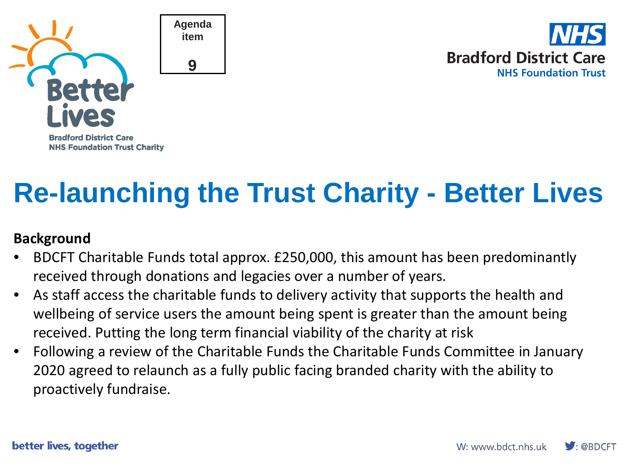



# **Re-launching the Trust Charity - Better Lives**

### **Background**

- BDCFT Charitable Funds total approx. £250,000, this amount has been predominantly received through donations and legacies over a number of years.
- As staff access the charitable funds to delivery activity that supports the health and wellbeing of service users the amount being spent is greater than the amount being received. Putting the long term financial viability of the charity at risk
- Following a review of the Charitable Funds the Charitable Funds Committee in January 2020 agreed to relaunch as a fully public facing branded charity with the ability to proactively fundraise.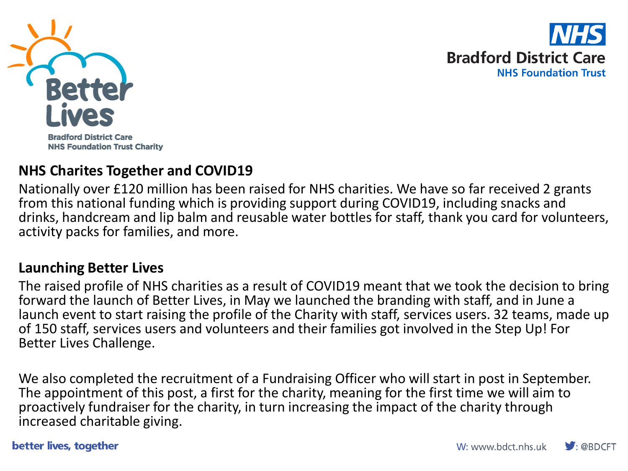



#### **Bradford District Care NHS Foundation Trust Charity**

### **NHS Charites Together and COVID19**

Nationally over £120 million has been raised for NHS charities. We have so far received 2 grants from this national funding which is providing support during COVID19, including snacks and drinks, handcream and lip balm and reusable water bottles for staff, thank you card for volunteers, activity packs for families, and more.

#### **Launching Better Lives**

The raised profile of NHS charities as a result of COVID19 meant that we took the decision to bring forward the launch of Better Lives, in May we launched the branding with staff, and in June a launch event to start raising the profile of the Charity with staff, services users. 32 teams, made up of 150 staff, services users and volunteers and their families got involved in the Step Up! For Better Lives Challenge.

We also completed the recruitment of a Fundraising Officer who will start in post in September. The appointment of this post, a first for the charity, meaning for the first time we will aim to proactively fundraiser for the charity, in turn increasing the impact of the charity through increased charitable giving.

better lives, together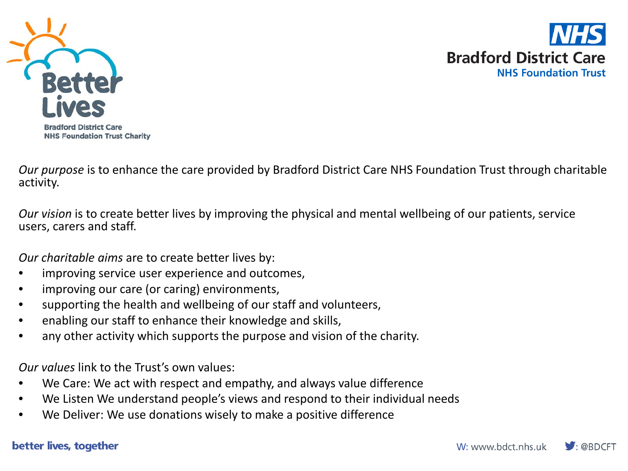



**Bradford District Care NHS Foundation Trust Charity** 

*Our purpose* is to enhance the care provided by Bradford District Care NHS Foundation Trust through charitable activity.

*Our vision* is to create better lives by improving the physical and mental wellbeing of our patients, service users, carers and staff.

*Our charitable aims* are to create better lives by:

- improving service user experience and outcomes,
- improving our care (or caring) environments,
- supporting the health and wellbeing of our staff and volunteers,
- enabling our staff to enhance their knowledge and skills,
- any other activity which supports the purpose and vision of the charity.

*Our values* link to the Trust's own values:

- We Care: We act with respect and empathy, and always value difference
- We Listen We understand people's views and respond to their individual needs
- We Deliver: We use donations wisely to make a positive difference